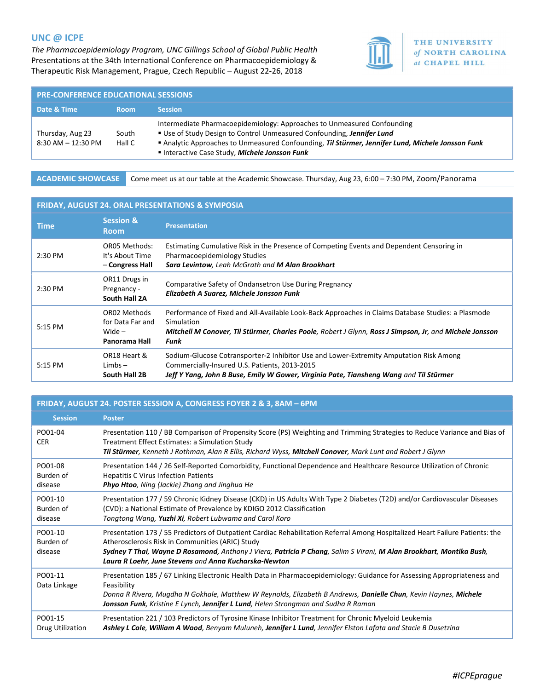## UNC @ ICPE

The Pharmacoepidemiology Program, UNC Gillings School of Global Public Health Presentations at the 34th International Conference on Pharmacoepidemiology & Therapeutic Risk Management, Prague, Czech Republic – August 22-26, 2018



THE UNIVERSITY of NORTH CAROLINA at CHAPEL HILL

| Date & Time<br><b>Session</b><br><b>Room</b><br>Intermediate Pharmacoepidemiology: Approaches to Unmeasured Confounding<br>Use of Study Design to Control Unmeasured Confounding, Jennifer Lund<br>Thursday, Aug 23<br>South | <b>PRE-CONFERENCE EDUCATIONAL SESSIONS</b> |  |  |  |
|------------------------------------------------------------------------------------------------------------------------------------------------------------------------------------------------------------------------------|--------------------------------------------|--|--|--|
|                                                                                                                                                                                                                              |                                            |  |  |  |
| Analytic Approaches to Unmeasured Confounding, Til Stürmer, Jennifer Lund, Michele Jonsson Funk<br>$8:30$ AM $-12:30$ PM<br>Hall C<br>Interactive Case Study, Michele Jonsson Funk                                           |                                            |  |  |  |

ACADEMIC SHOWCASE Come meet us at our table at the Academic Showcase. Thursday, Aug 23, 6:00 – 7:30 PM, Zoom/Panorama

#### FRIDAY, AUGUST 24. ORAL PRESENTATIONS & SYMPOSIA

| <b>Time</b> | <b>Session &amp;</b><br><b>Room</b>                                  | <b>Presentation</b>                                                                                                                                                                                                                 |
|-------------|----------------------------------------------------------------------|-------------------------------------------------------------------------------------------------------------------------------------------------------------------------------------------------------------------------------------|
| 2:30 PM     | OR05 Methods:<br>It's About Time<br>- Congress Hall                  | Estimating Cumulative Risk in the Presence of Competing Events and Dependent Censoring in<br>Pharmacoepidemiology Studies<br>Sara Levintow, Leah McGrath and M Alan Brookhart                                                       |
| $2:30$ PM   | OR11 Drugs in<br>Pregnancy -<br>South Hall 2A                        | Comparative Safety of Ondansetron Use During Pregnancy<br>Elizabeth A Suarez, Michele Jonsson Funk                                                                                                                                  |
| 5:15 PM     | <b>OR02 Methods</b><br>for Data Far and<br>Wide $-$<br>Panorama Hall | Performance of Fixed and All-Available Look-Back Approaches in Claims Database Studies: a Plasmode<br>Simulation<br>Mitchell M Conover, Til Stürmer, Charles Poole, Robert J Glynn, Ross J Simpson, Jr, and Michele Jonsson<br>Funk |
| 5:15 PM     | OR18 Heart &<br>$Limbs -$<br>South Hall 2B                           | Sodium-Glucose Cotransporter-2 Inhibitor Use and Lower-Extremity Amputation Risk Among<br>Commercially-Insured U.S. Patients, 2013-2015<br>Jeff Y Yang, John B Buse, Emily W Gower, Virginia Pate, Tiansheng Wang and Til Stürmer   |

## FRIDAY, AUGUST 24. POSTER SESSION A, CONGRESS FOYER 2 & 3, 8AM – 6PM

| <b>Session</b>                  | <b>Poster</b>                                                                                                                                                                                                                                                                                                                                                     |
|---------------------------------|-------------------------------------------------------------------------------------------------------------------------------------------------------------------------------------------------------------------------------------------------------------------------------------------------------------------------------------------------------------------|
| PO01-04<br><b>CER</b>           | Presentation 110 / BB Comparison of Propensity Score (PS) Weighting and Trimming Strategies to Reduce Variance and Bias of<br>Treatment Effect Estimates: a Simulation Study<br>Til Stürmer, Kenneth J Rothman, Alan R Ellis, Richard Wyss, Mitchell Conover, Mark Lunt and Robert J Glynn                                                                        |
| PO01-08<br>Burden of<br>disease | Presentation 144 / 26 Self-Reported Comorbidity, Functional Dependence and Healthcare Resource Utilization of Chronic<br><b>Hepatitis C Virus Infection Patients</b><br><b>Phyo Htoo</b> , Ning (Jackie) Zhang and Jinghua He                                                                                                                                     |
| PO01-10<br>Burden of<br>disease | Presentation 177 / 59 Chronic Kidney Disease (CKD) in US Adults With Type 2 Diabetes (T2D) and/or Cardiovascular Diseases<br>(CVD): a National Estimate of Prevalence by KDIGO 2012 Classification<br>Tongtong Wang, Yuzhi Xi, Robert Lubwama and Carol Koro                                                                                                      |
| PO01-10<br>Burden of<br>disease | Presentation 173 / 55 Predictors of Outpatient Cardiac Rehabilitation Referral Among Hospitalized Heart Failure Patients: the<br>Atherosclerosis Risk in Communities (ARIC) Study<br>Sydney T Thai, Wayne D Rosamond, Anthony J Viera, Patricia P Chang, Salim S Virani, M Alan Brookhart, Montika Bush,<br>Laura R Loehr, June Stevens and Anna Kucharska-Newton |
| PO01-11<br>Data Linkage         | Presentation 185 / 67 Linking Electronic Health Data in Pharmacoepidemiology: Guidance for Assessing Appropriateness and<br>Feasibility<br>Donna R Rivera, Mugdha N Gokhale, Matthew W Reynolds, Elizabeth B Andrews, Danielle Chun, Kevin Haynes, Michele<br>Jonsson Funk, Kristine E Lynch, Jennifer L Lund, Helen Strongman and Sudha R Raman                  |
| PO01-15<br>Drug Utilization     | Presentation 221 / 103 Predictors of Tyrosine Kinase Inhibitor Treatment for Chronic Myeloid Leukemia<br>Ashley L Cole, William A Wood, Benyam Muluneh, Jennifer L Lund, Jennifer Elston Lafata and Stacie B Dusetzina                                                                                                                                            |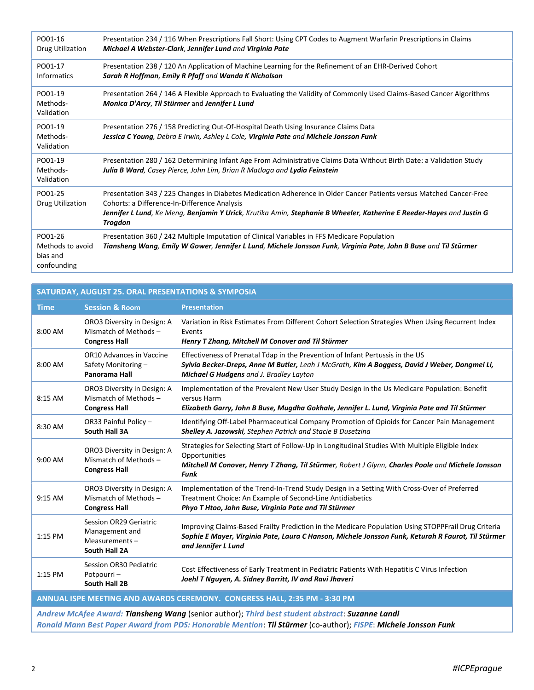| PO01-16<br>Drug Utilization                            | Presentation 234 / 116 When Prescriptions Fall Short: Using CPT Codes to Augment Warfarin Prescriptions in Claims<br>Michael A Webster-Clark, Jennifer Lund and Virginia Pate                                                                                                                          |
|--------------------------------------------------------|--------------------------------------------------------------------------------------------------------------------------------------------------------------------------------------------------------------------------------------------------------------------------------------------------------|
| PO01-17<br><b>Informatics</b>                          | Presentation 238 / 120 An Application of Machine Learning for the Refinement of an EHR-Derived Cohort<br>Sarah R Hoffman, Emily R Pfaff and Wanda K Nicholson                                                                                                                                          |
| PO01-19<br>Methods-<br>Validation                      | Presentation 264 / 146 A Flexible Approach to Evaluating the Validity of Commonly Used Claims-Based Cancer Algorithms<br>Monica D'Arcy, Til Stürmer and Jennifer L Lund                                                                                                                                |
| PO01-19<br>Methods-<br>Validation                      | Presentation 276 / 158 Predicting Out-Of-Hospital Death Using Insurance Claims Data<br>Jessica C Young, Debra E Irwin, Ashley L Cole, Virginia Pate and Michele Jonsson Funk                                                                                                                           |
| PO01-19<br>Methods-<br>Validation                      | Presentation 280 / 162 Determining Infant Age From Administrative Claims Data Without Birth Date: a Validation Study<br>Julia B Ward, Casey Pierce, John Lim, Brian R Matlaga and Lydia Feinstein                                                                                                      |
| PO01-25<br>Drug Utilization                            | Presentation 343 / 225 Changes in Diabetes Medication Adherence in Older Cancer Patients versus Matched Cancer-Free<br>Cohorts: a Difference-In-Difference Analysis<br>Jennifer L Lund, Ke Meng, Benjamin Y Urick, Krutika Amin, Stephanie B Wheeler, Katherine E Reeder-Hayes and Justin G<br>Trogdon |
| PO01-26<br>Methods to avoid<br>bias and<br>confounding | Presentation 360 / 242 Multiple Imputation of Clinical Variables in FFS Medicare Population<br>Tiansheng Wang, Emily W Gower, Jennifer L Lund, Michele Jonsson Funk, Virginia Pate, John B Buse and Til Stürmer                                                                                        |

| SATURDAY, AUGUST 25. ORAL PRESENTATIONS & SYMPOSIA                                                                                                                                                                                                                                        |                                                                               |                                                                                                                                                                                                                                       |  |
|-------------------------------------------------------------------------------------------------------------------------------------------------------------------------------------------------------------------------------------------------------------------------------------------|-------------------------------------------------------------------------------|---------------------------------------------------------------------------------------------------------------------------------------------------------------------------------------------------------------------------------------|--|
| <b>Time</b>                                                                                                                                                                                                                                                                               | <b>Session &amp; Room</b>                                                     | <b>Presentation</b>                                                                                                                                                                                                                   |  |
| 8:00 AM                                                                                                                                                                                                                                                                                   | ORO3 Diversity in Design: A<br>Mismatch of Methods -<br><b>Congress Hall</b>  | Variation in Risk Estimates From Different Cohort Selection Strategies When Using Recurrent Index<br>Events<br>Henry T Zhang, Mitchell M Conover and Til Stürmer                                                                      |  |
| 8:00 AM                                                                                                                                                                                                                                                                                   | <b>OR10 Advances in Vaccine</b><br>Safety Monitoring-<br>Panorama Hall        | Effectiveness of Prenatal Tdap in the Prevention of Infant Pertussis in the US<br>Sylvia Becker-Dreps, Anne M Butler, Leah J McGrath, Kim A Boggess, David J Weber, Dongmei Li,<br>Michael G Hudgens and J. Bradley Layton            |  |
| 8:15 AM                                                                                                                                                                                                                                                                                   | ORO3 Diversity in Design: A<br>Mismatch of Methods -<br><b>Congress Hall</b>  | Implementation of the Prevalent New User Study Design in the Us Medicare Population: Benefit<br>versus Harm<br>Elizabeth Garry, John B Buse, Mugdha Gokhale, Jennifer L. Lund, Virginia Pate and Til Stürmer                          |  |
| 8:30 AM                                                                                                                                                                                                                                                                                   | OR33 Painful Policy -<br>South Hall 3A                                        | Identifying Off-Label Pharmaceutical Company Promotion of Opioids for Cancer Pain Management<br>Shelley A. Jazowski, Stephen Patrick and Stacie B Dusetzina                                                                           |  |
| 9:00 AM                                                                                                                                                                                                                                                                                   | ORO3 Diversity in Design: A<br>Mismatch of Methods -<br><b>Congress Hall</b>  | Strategies for Selecting Start of Follow-Up in Longitudinal Studies With Multiple Eligible Index<br>Opportunities<br>Mitchell M Conover, Henry T Zhang, Til Stürmer, Robert J Glynn, Charles Poole and Michele Jonsson<br><b>Funk</b> |  |
| 9:15 AM                                                                                                                                                                                                                                                                                   | ORO3 Diversity in Design: A<br>Mismatch of Methods -<br><b>Congress Hall</b>  | Implementation of the Trend-In-Trend Study Design in a Setting With Cross-Over of Preferred<br>Treatment Choice: An Example of Second-Line Antidiabetics<br>Phyo T Htoo, John Buse, Virginia Pate and Til Stürmer                     |  |
| 1:15 PM                                                                                                                                                                                                                                                                                   | Session OR29 Geriatric<br>Management and<br>Measurements $-$<br>South Hall 2A | Improving Claims-Based Frailty Prediction in the Medicare Population Using STOPPFrail Drug Criteria<br>Sophie E Mayer, Virginia Pate, Laura C Hanson, Michele Jonsson Funk, Keturah R Faurot, Til Stürmer<br>and Jennifer L Lund      |  |
| 1:15 PM                                                                                                                                                                                                                                                                                   | Session OR30 Pediatric<br>Potpourri-<br>South Hall 2B                         | Cost Effectiveness of Early Treatment in Pediatric Patients With Hepatitis C Virus Infection<br>Joehl T Nguyen, A. Sidney Barritt, IV and Ravi Jhaveri                                                                                |  |
| ANNUAL ISPE MEETING AND AWARDS CEREMONY. CONGRESS HALL, 2:35 PM - 3:30 PM                                                                                                                                                                                                                 |                                                                               |                                                                                                                                                                                                                                       |  |
| $\mathcal{L}$ and the contract of the contract of the contract of the contract of the contract of the contract of the contract of the contract of the contract of the contract of the contract of the contract of the contract of<br>$\overline{a}$ and $\overline{a}$ and $\overline{a}$ |                                                                               |                                                                                                                                                                                                                                       |  |

Andrew McAfee Award: Tiansheng Wang (senior author); Third best student abstract: Suzanne Landi Ronald Mann Best Paper Award from PDS: Honorable Mention: Til Stürmer (co-author); FISPE: Michele Jonsson Funk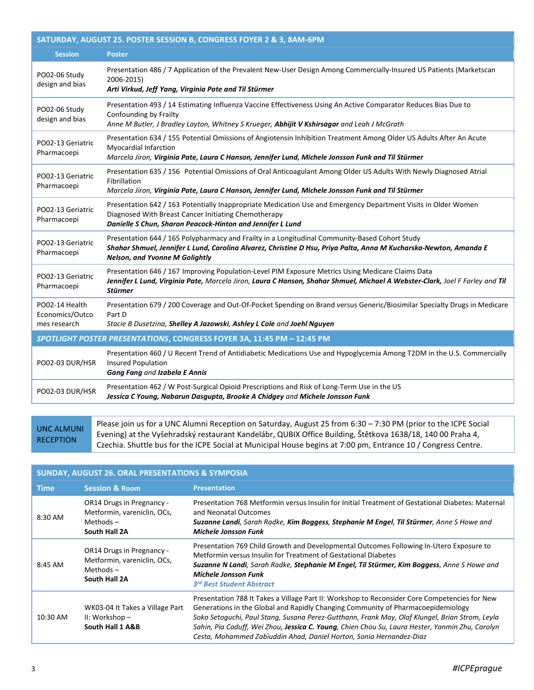| SATURDAY, AUGUST 25. POSTER SESSION B, CONGRESS FOYER 2 & 3, 8AM-6PM   |                                                                                                                                                                                                                                                              |  |  |
|------------------------------------------------------------------------|--------------------------------------------------------------------------------------------------------------------------------------------------------------------------------------------------------------------------------------------------------------|--|--|
| <b>Session</b>                                                         | <b>Poster</b>                                                                                                                                                                                                                                                |  |  |
| PO02-06 Study<br>design and bias                                       | Presentation 486 / 7 Application of the Prevalent New-User Design Among Commercially-Insured US Patients (Marketscan<br>2006-2015)<br>Arti Virkud, Jeff Yang, Virginia Pate and Til Stürmer                                                                  |  |  |
| PO02-06 Study<br>design and bias                                       | Presentation 493 / 14 Estimating Influenza Vaccine Effectiveness Using An Active Comparator Reduces Bias Due to<br>Confounding by Frailty<br>Anne M Butler, J Bradley Layton, Whitney S Krueger, Abhijit V Kshirsagar and Leah J McGrath                     |  |  |
| PO02-13 Geriatric<br>Pharmacoepi                                       | Presentation 634 / 155 Potential Omissions of Angiotensin Inhibition Treatment Among Older US Adults After An Acute<br><b>Myocardial Infarction</b><br>Marcela Jiron, Virginia Pate, Laura C Hanson, Jennifer Lund, Michele Jonsson Funk and Til Stürmer     |  |  |
| PO02-13 Geriatric<br>Pharmacoepi                                       | Presentation 635 / 156 Potential Omissions of Oral Anticoagulant Among Older US Adults With Newly Diagnosed Atrial<br>Fibrillation<br>Marcela Jiron, Virginia Pate, Laura C Hanson, Jennifer Lund, Michele Jonsson Funk and Til Stürmer                      |  |  |
| PO02-13 Geriatric<br>Pharmacoepi                                       | Presentation 642 / 163 Potentially Inappropriate Medication Use and Emergency Department Visits in Older Women<br>Diagnosed With Breast Cancer Initiating Chemotherapy<br>Danielle S Chun, Sharon Peacock-Hinton and Jennifer L Lund                         |  |  |
| PO02-13 Geriatric<br>Pharmacoepi                                       | Presentation 644 / 165 Polypharmacy and Frailty in a Longitudinal Community-Based Cohort Study<br>Shahar Shmuel, Jennifer L Lund, Carolina Alvarez, Christine D Hsu, Priya Palta, Anna M Kucharska-Newton, Amanda E<br><b>Nelson, and Yvonne M Golightly</b> |  |  |
| PO02-13 Geriatric<br>Pharmacoepi                                       | Presentation 646 / 167 Improving Population-Level PIM Exposure Metrics Using Medicare Claims Data<br>Jennifer L Lund, Virginia Pate, Marcela Jiron, Laura C Hanson, Shahar Shmuel, Michael A Webster-Clark, Joel F Farley and Til<br><b>Stürmer</b>          |  |  |
| PO02-14 Health<br>Economics/Outco<br>mes research                      | Presentation 679 / 200 Coverage and Out-Of-Pocket Spending on Brand versus Generic/Biosimilar Specialty Drugs in Medicare<br>Part D<br>Stacie B Dusetzina, Shelley A Jazowski, Ashley L Cole and Joehl Nguyen                                                |  |  |
| SPOTLIGHT POSTER PRESENTATIONS, CONGRESS FOYER 3A, 11:45 PM - 12:45 PM |                                                                                                                                                                                                                                                              |  |  |
| PO02-03 DUR/HSR                                                        | Presentation 460 / U Recent Trend of Antidiabetic Medications Use and Hypoglycemia Among T2DM in the U.S. Commercially<br><b>Insured Population</b><br>Gang Fang and Izabela E Annis                                                                         |  |  |
| PO02-03 DUR/HSR                                                        | Presentation 462 / W Post-Surgical Opioid Prescriptions and Risk of Long-Term Use in the US<br>Jessica C Young, Nabarun Dasgupta, Brooke A Chidgey and Michele Jonsson Funk                                                                                  |  |  |

UNC ALMUNI **RECEPTION** 

Please join us for a UNC Alumni Reception on Saturday, August 25 from 6:30 – 7:30 PM (prior to the ICPE Social Evening) at the Vyšehradský restaurant Kandelábr, QUBIX Office Building, Štětkova 1638/18, 140 00 Praha 4, Czechia. Shuttle bus for the ICPE Social at Municipal House begins at 7:00 pm, Entrance 10 / Congress Centre.

| <b>SUNDAY, AUGUST 26. ORAL PRESENTATIONS &amp; SYMPOSIA</b> |                                                                                          |                                                                                                                                                                                                                                                                                                                                                                                                                                                               |  |
|-------------------------------------------------------------|------------------------------------------------------------------------------------------|---------------------------------------------------------------------------------------------------------------------------------------------------------------------------------------------------------------------------------------------------------------------------------------------------------------------------------------------------------------------------------------------------------------------------------------------------------------|--|
| Time                                                        | <b>Session &amp; Room</b>                                                                | <b>Presentation</b>                                                                                                                                                                                                                                                                                                                                                                                                                                           |  |
| 8:30 AM                                                     | OR14 Drugs in Pregnancy -<br>Metformin, vareniclin, OCs,<br>Methods $-$<br>South Hall 2A | Presentation 768 Metformin versus Insulin for Initial Treatment of Gestational Diabetes: Maternal<br>and Neonatal Outcomes<br>Suzanne Landi, Sarah Radke, Kim Boggess, Stephanie M Engel, Til Stürmer, Anne S Howe and<br><b>Michele Jonsson Funk</b>                                                                                                                                                                                                         |  |
| 8:45 AM                                                     | OR14 Drugs in Pregnancy -<br>Metformin, vareniclin, OCs,<br>Methods $-$<br>South Hall 2A | Presentation 769 Child Growth and Developmental Outcomes Following In-Utero Exposure to<br>Metformin versus Insulin for Treatment of Gestational Diabetes<br>Suzanne N Landi, Sarah Radke, Stephanie M Engel, Til Stürmer, Kim Boggess, Anne S Howe and<br><b>Michele Jonsson Funk</b><br>3 <sup>rd</sup> Best Student Abstract                                                                                                                               |  |
| 10:30 AM                                                    | WK03-04 It Takes a Village Part<br>II: Workshop -<br>South Hall 1 A&B                    | Presentation 788 It Takes a Village Part II: Workshop to Reconsider Core Competencies for New<br>Generations in the Global and Rapidly Changing Community of Pharmacoepidemiology<br>Soko Setoguchi, Paul Stang, Susana Perez-Gutthann, Frank May, Olaf Klungel, Brian Strom, Leyla<br>Sahin, Pia Caduff, Wei Zhou, Jessica C. Young, Chien Chou Su, Laura Hester, Yanmin Zhu, Carolyn<br>Cesta, Mohammed Zabiuddin Ahad, Daniel Horton, Sonia Hernandez-Diaz |  |